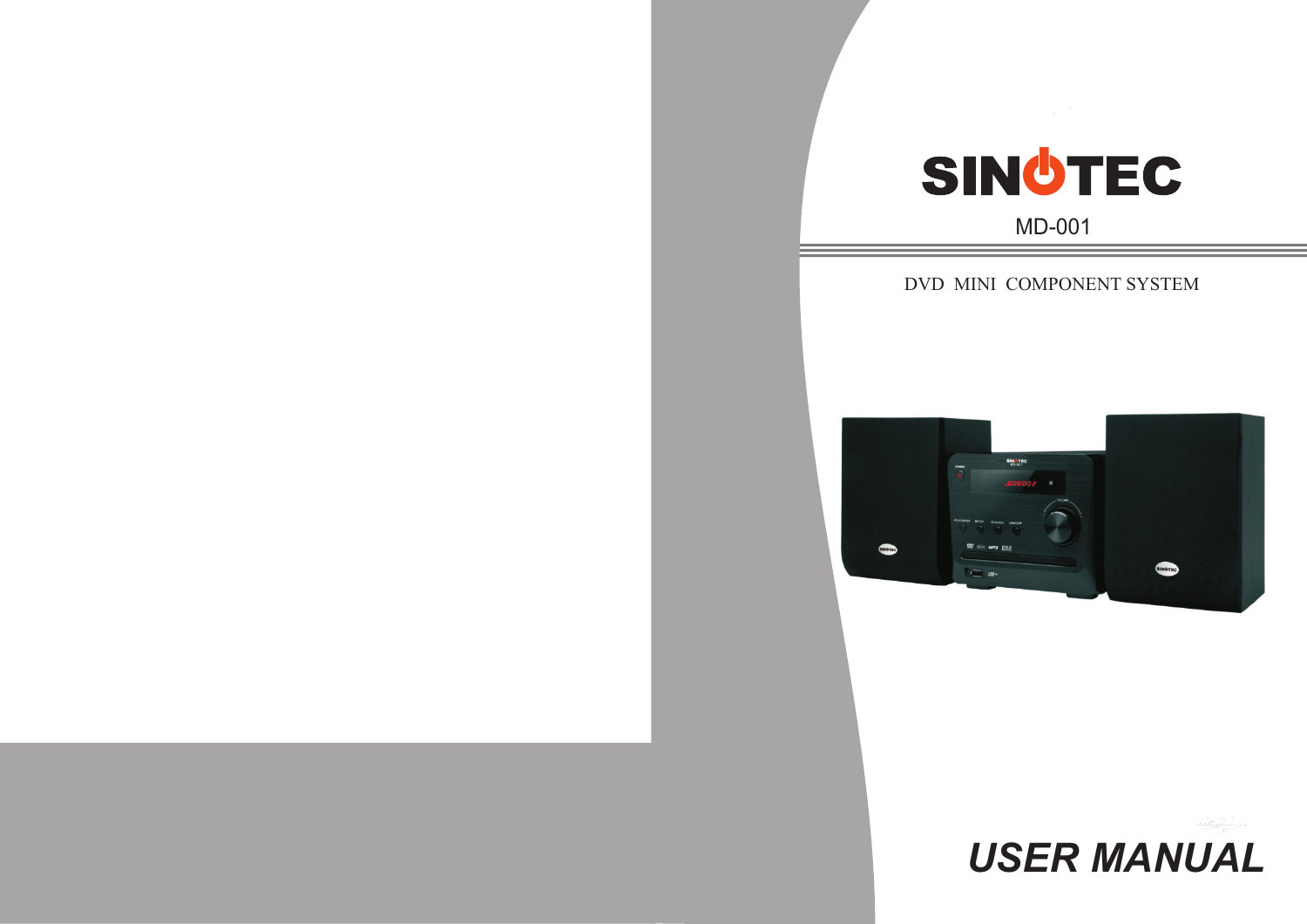# SINOTEC

MD-001

DVD MINI COMPONENT SYSTEM



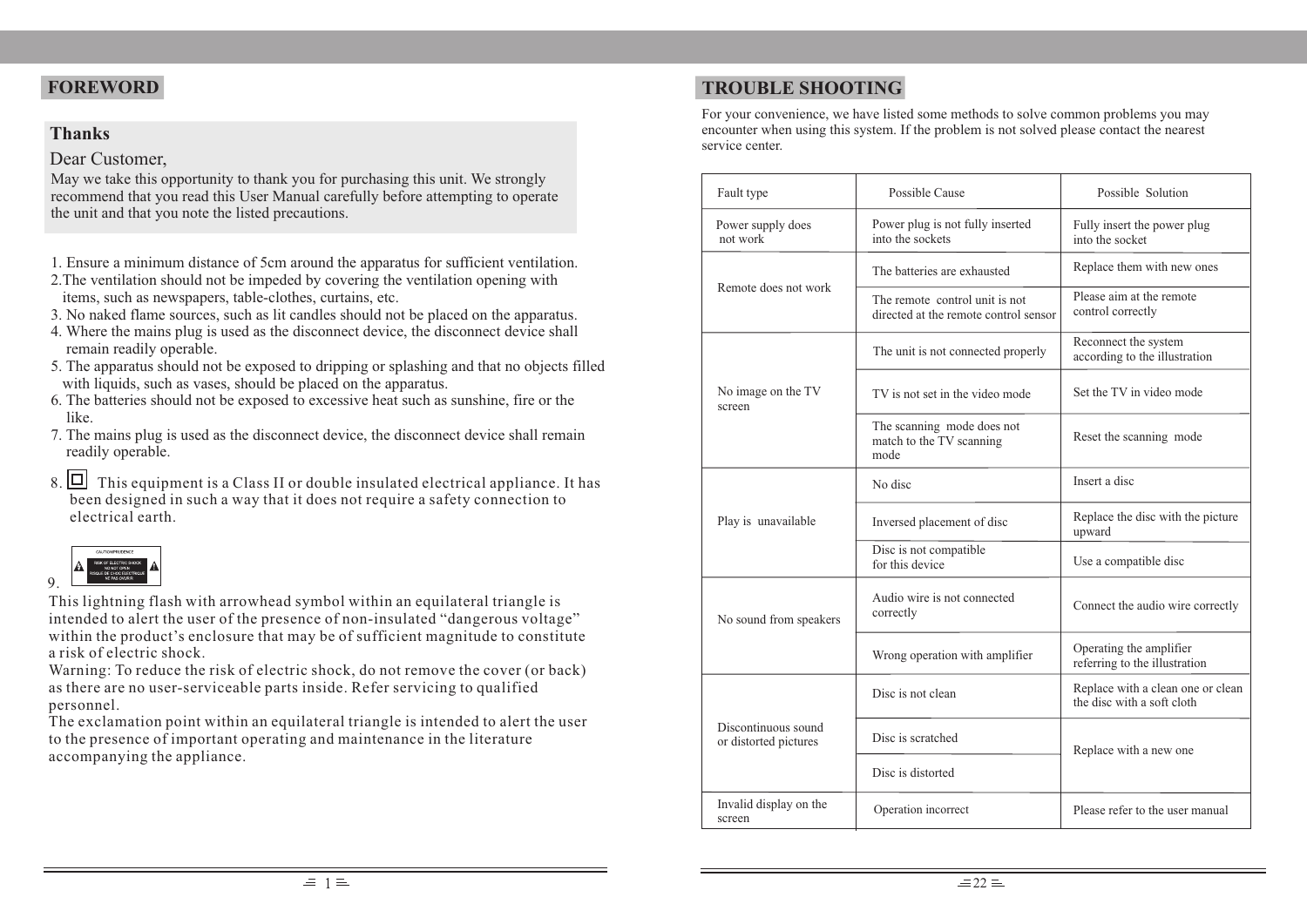#### **Thanks**

#### Dear Customer,

May we take this opportunity to thank you for purchasing this unit. We strongly recommend that you read this User Manual carefully before attempting to operate the unit and that you note the listed precautions.

- 1. Ensure a minimum distance of 5cm around the apparatus for sufficient ventilation.
- 2.The ventilation should not be impeded by covering the ventilation opening with items, such as newspapers, table-clothes, curtains, etc.
- 3. No naked flame sources, such as lit candles should not be placed on the apparatus.
- 4. Where the mains plug is used as the disconnect device, the disconnect device shall remain readily operable.
- 5. The apparatus should not be exposed to dripping or splashing and that no objects filled with liquids, such as vases, should be placed on the apparatus.
- 6. The batteries should not be exposed to excessive heat such as sunshine, fire or the like.
- 7. The mains plug is used as the disconnect device, the disconnect device shall remain readily operable.
- 8.  $\Box$  This equipment is a Class II or double insulated electrical appliance. It has been designed in such a way that it does not require a safety connection to electrical earth.



This lightning flash with arrowhead symbol within an equilateral triangle is intended to alert the user of the presence of non-insulated "dangerous voltage" within the product's enclosure that may be of sufficient magnitude to constitute a risk of electric shock.

Warning: To reduce the risk of electric shock, do not remove the cover (or back) as there are no user-serviceable parts inside. Refer servicing to qualified personnel.

The exclamation point within an equilateral triangle is intended to alert the user to the presence of important operating and maintenance in the literature accompanying the appliance.

# **FOREWORD TROUBLE SHOOTING**

For your convenience, we have listed some methods to solve common problems you may encounter when using this system. If the problem is not solved please contact the nearest service center.

| Fault type                                                                            | Possible Cause                                                          | Possible Solution                                               |  |
|---------------------------------------------------------------------------------------|-------------------------------------------------------------------------|-----------------------------------------------------------------|--|
| Power supply does<br>Power plug is not fully inserted<br>into the sockets<br>not work |                                                                         | Fully insert the power plug<br>into the socket                  |  |
|                                                                                       | The batteries are exhausted                                             | Replace them with new ones                                      |  |
| Remote does not work                                                                  | The remote control unit is not<br>directed at the remote control sensor | Please aim at the remote<br>control correctly                   |  |
|                                                                                       | The unit is not connected properly                                      | Reconnect the system<br>according to the illustration           |  |
| No image on the TV<br>screen                                                          | TV is not set in the video mode                                         | Set the TV in video mode                                        |  |
|                                                                                       | The scanning mode does not<br>match to the TV scanning<br>mode          | Reset the scanning mode                                         |  |
|                                                                                       | No disc                                                                 | Insert a disc                                                   |  |
| Play is unavailable                                                                   | Inversed placement of disc                                              | Replace the disc with the picture<br>upward                     |  |
|                                                                                       | Disc is not compatible<br>for this device                               | Use a compatible disc                                           |  |
| No sound from speakers                                                                | Audio wire is not connected<br>correctly                                | Connect the audio wire correctly                                |  |
|                                                                                       | Wrong operation with amplifier                                          | Operating the amplifier<br>referring to the illustration        |  |
|                                                                                       | Disc is not clean                                                       | Replace with a clean one or clean<br>the disc with a soft cloth |  |
| Discontinuous sound<br>or distorted pictures                                          | Disc is scratched                                                       | Replace with a new one                                          |  |
|                                                                                       | Disc is distorted                                                       |                                                                 |  |
| Invalid display on the<br>Operation incorrect<br>screen                               |                                                                         | Please refer to the user manual                                 |  |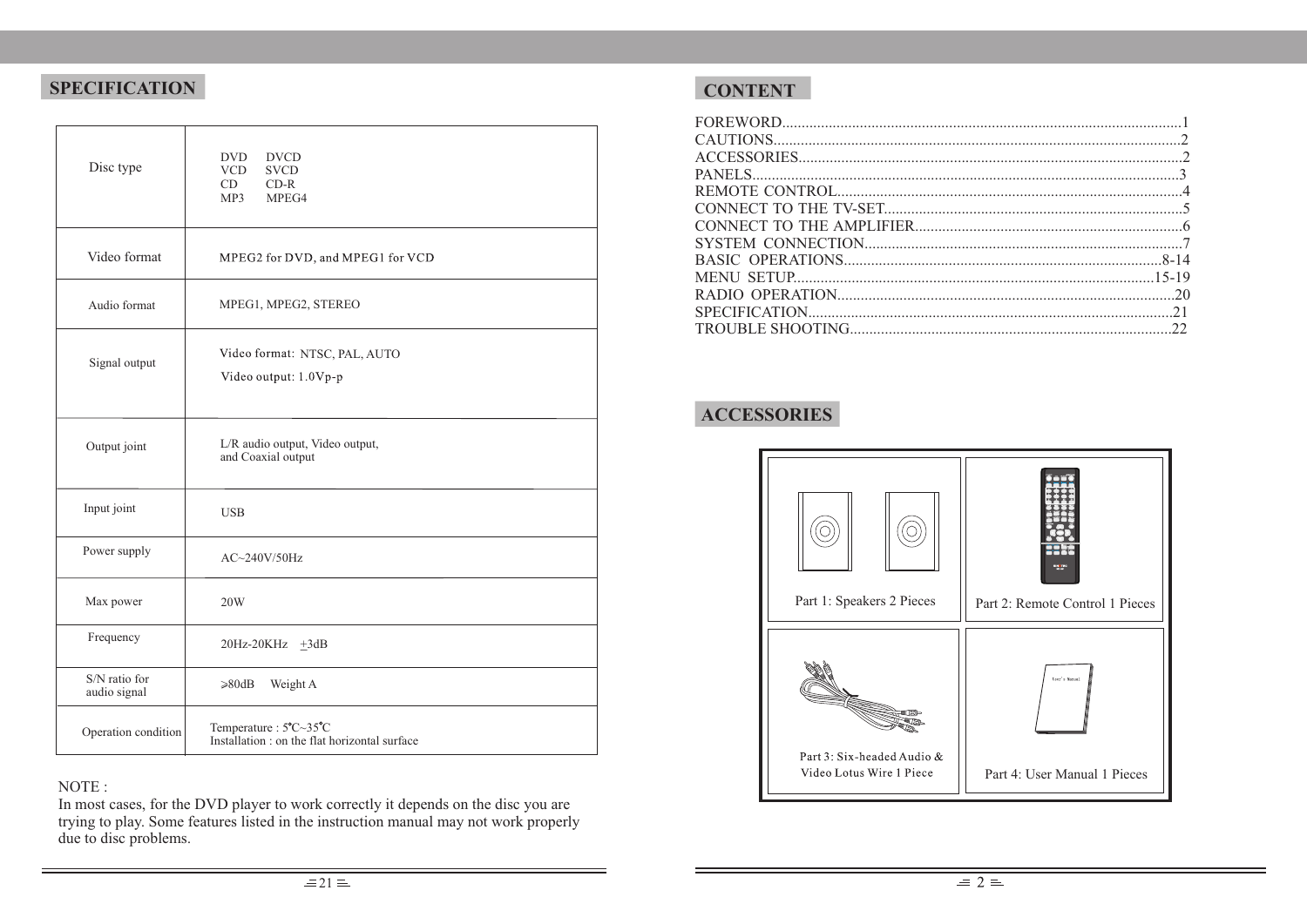## **SPECIFICATION**

| Disc type                     | DVD.<br><b>DVCD</b><br><b>VCD</b><br><b>SVCD</b><br>CD<br>$CD-R$<br>MP3<br>MPEG4 |
|-------------------------------|----------------------------------------------------------------------------------|
| Video format                  | MPEG2 for DVD, and MPEG1 for VCD                                                 |
| Audio format                  | MPEG1, MPEG2, STEREO                                                             |
| Signal output                 | Video format: NTSC, PAL, AUTO<br>Video output: 1.0Vp-p                           |
| Output joint                  | L/R audio output, Video output,<br>and Coaxial output                            |
| Input joint                   | <b>USB</b>                                                                       |
| Power supply                  | $AC \sim 240V/50Hz$                                                              |
| Max power                     | 20W                                                                              |
| Frequency                     | 20Hz-20KHz +3dB                                                                  |
| S/N ratio for<br>audio signal | $\geq 80dB$<br>Weight A                                                          |
| Operation condition           | Temperature: 5°C~35°C<br>Installation : on the flat horizontal surface           |

## NOTE :

In most cases, for the DVD player to work correctly it depends on the disc you are trying to play. Some features listed in the instruction manual may not work properly due to disc problems.

## **CONTENT**

# **ACCESSORIES**

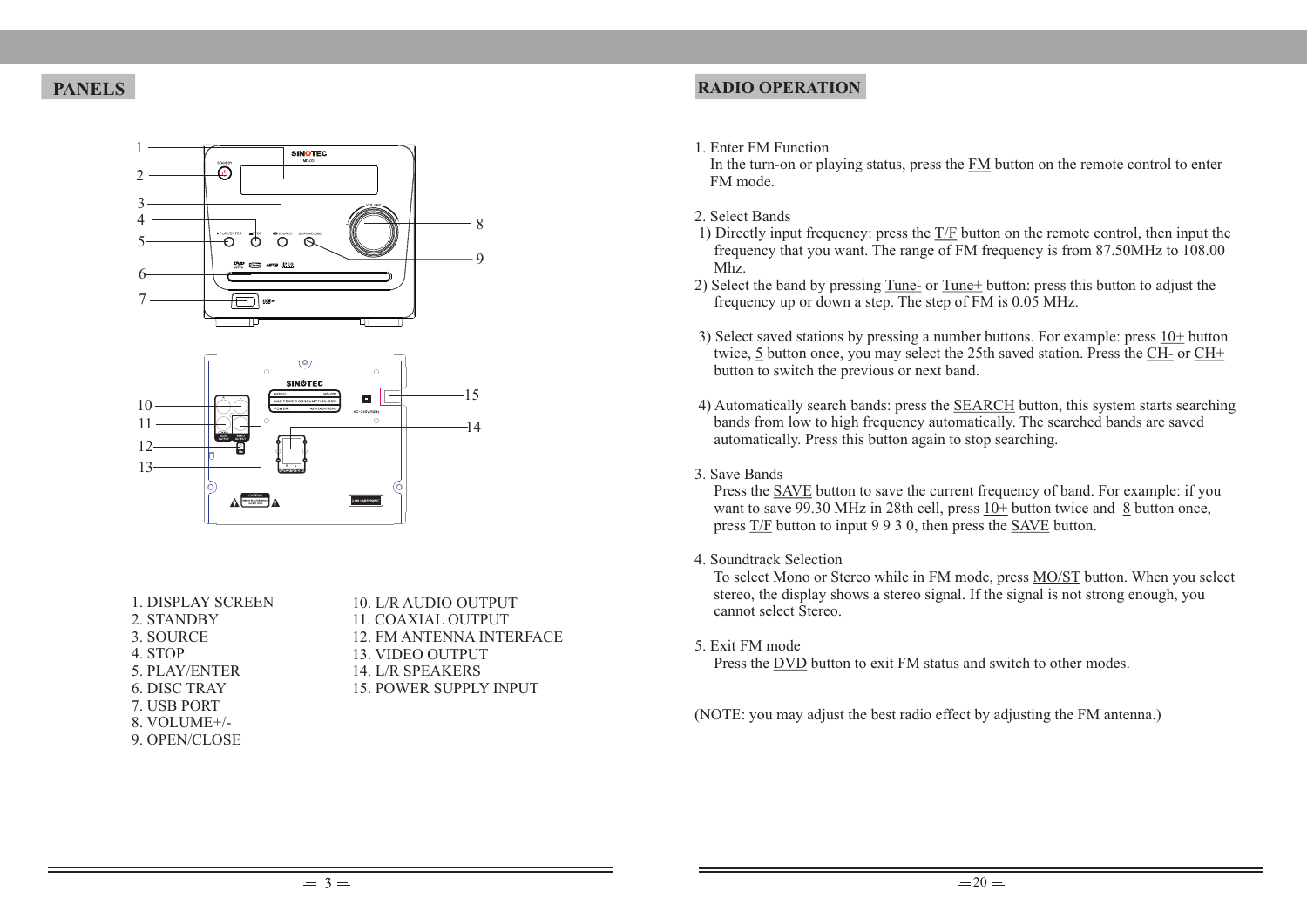## **PANELS**





| 1. DISPLAY SCREEN   |
|---------------------|
| 2. STANDBY          |
| 3. SOURCE           |
| 4. STOP             |
| 5. PLAY/ENTER       |
| <b>6. DISC TRAY</b> |
| 7. USB PORT         |
| 8. VOLUME+/-        |
| 9. OPEN/CLOSE       |
|                     |

10. L/R AUDIO OUTPUT 11. COAXIAL OUTPUT 12. FM ANTENNA INTERFACE 13. VIDEO OUTPUT 14. L/R SPEAKERS 15. POWER SUPPLY INPUT

## **RADIO OPERATION**

1. Enter FM Function

 In the turn-on or playing status, press the FM button on the remote control to enter FM mode.

- 2. Select Bands
- 1) Directly input frequency: press the T/F button on the remote control, then input the frequency that you want. The range of FM frequency is from 87.50MHz to 108.00 Mhz.
- 2) Select the band by pressing Tune- or Tune+ button: press this button to adjust the frequency up or down a step. The step of FM is 0.05 MHz.
- 3) Select saved stations by pressing a number buttons. For example: press 10+ button twice, 5 button once, you may select the 25th saved station. Press the CH- or CH+ button to switch the previous or next band.
- 4) Automatically search bands: press the SEARCH button, this system starts searching bands from low to high frequency automatically. The searched bands are saved automatically. Press this button again to stop searching.
- 3. Save Bands

 Press the SAVE button to save the current frequency of band. For example: if you want to save 99.30 MHz in 28th cell, press 10+ button twice and 8 button once, press T/F button to input 9 9 3 0, then press the SAVE button.

#### 4. Soundtrack Selection

 To select Mono or Stereo while in FM mode, press MO/ST button. When you select stereo, the display shows a stereo signal. If the signal is not strong enough, you cannot select Stereo.

5. Exit FM mode

Press the DVD button to exit FM status and switch to other modes.

(NOTE: you may adjust the best radio effect by adjusting the FM antenna.)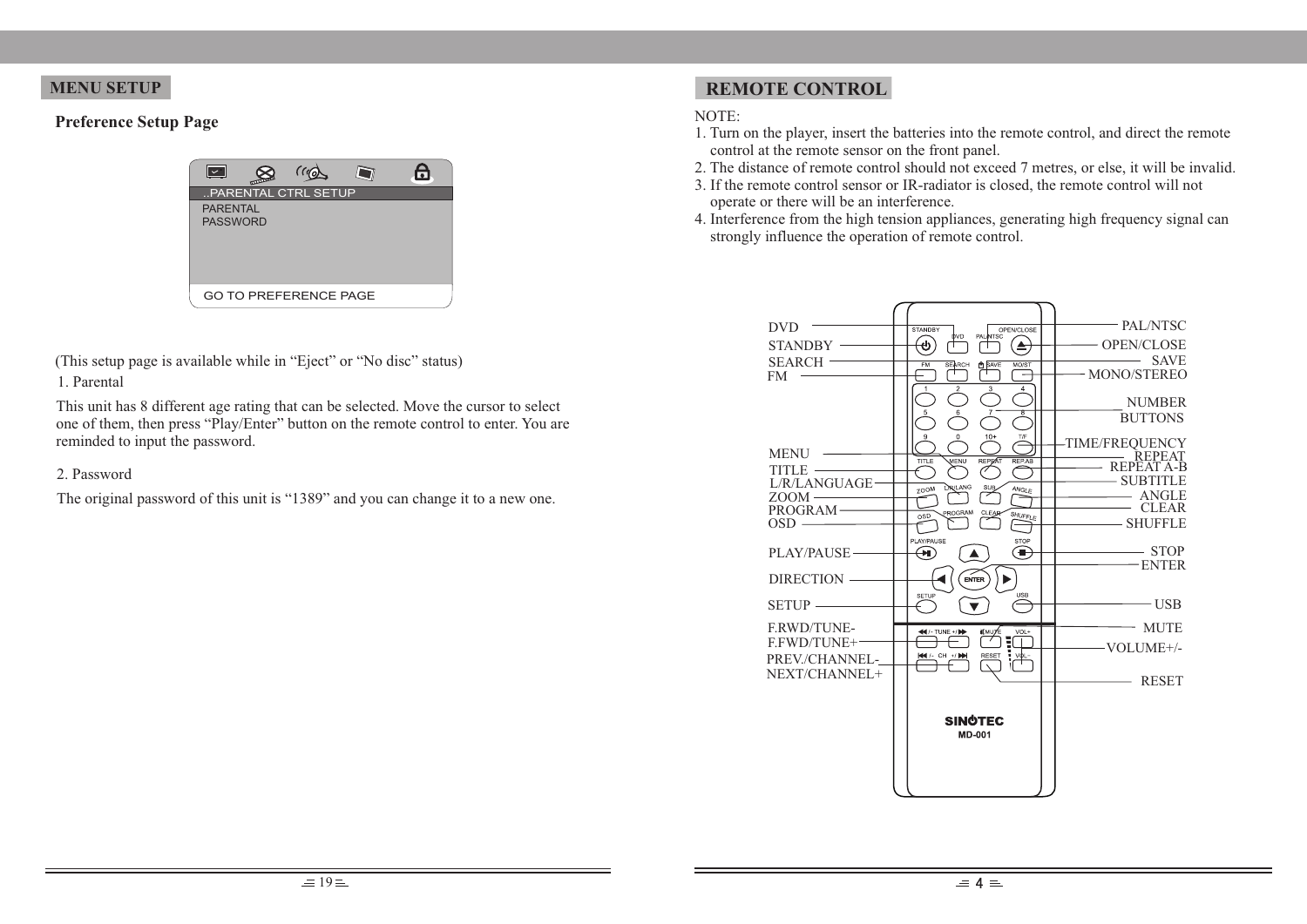#### **Preference Setup Page**



1. Parental (This setup page is available while in "Eject" or "No disc" status)

This unit has 8 different age rating that can be selected. Move the cursor to select one of them, then press "Play/Enter" button on the remote control to enter. You are reminded to input the password.

#### 2. Password

The original password of this unit is "1389" and you can change it to a new one.

# **MENU SETUP REMOTE CONTROL**

#### NOTE:

- 1. Turn on the player, insert the batteries into the remote control, and direct the remote control at the remote sensor on the front panel.
- 2. The distance of remote control should not exceed 7 metres, or else, it will be invalid.
- 3. If the remote control sensor or IR-radiator is closed, the remote control will not operate or there will be an interference.
- 4. Interference from the high tension appliances, generating high frequency signal can strongly influence the operation of remote control.

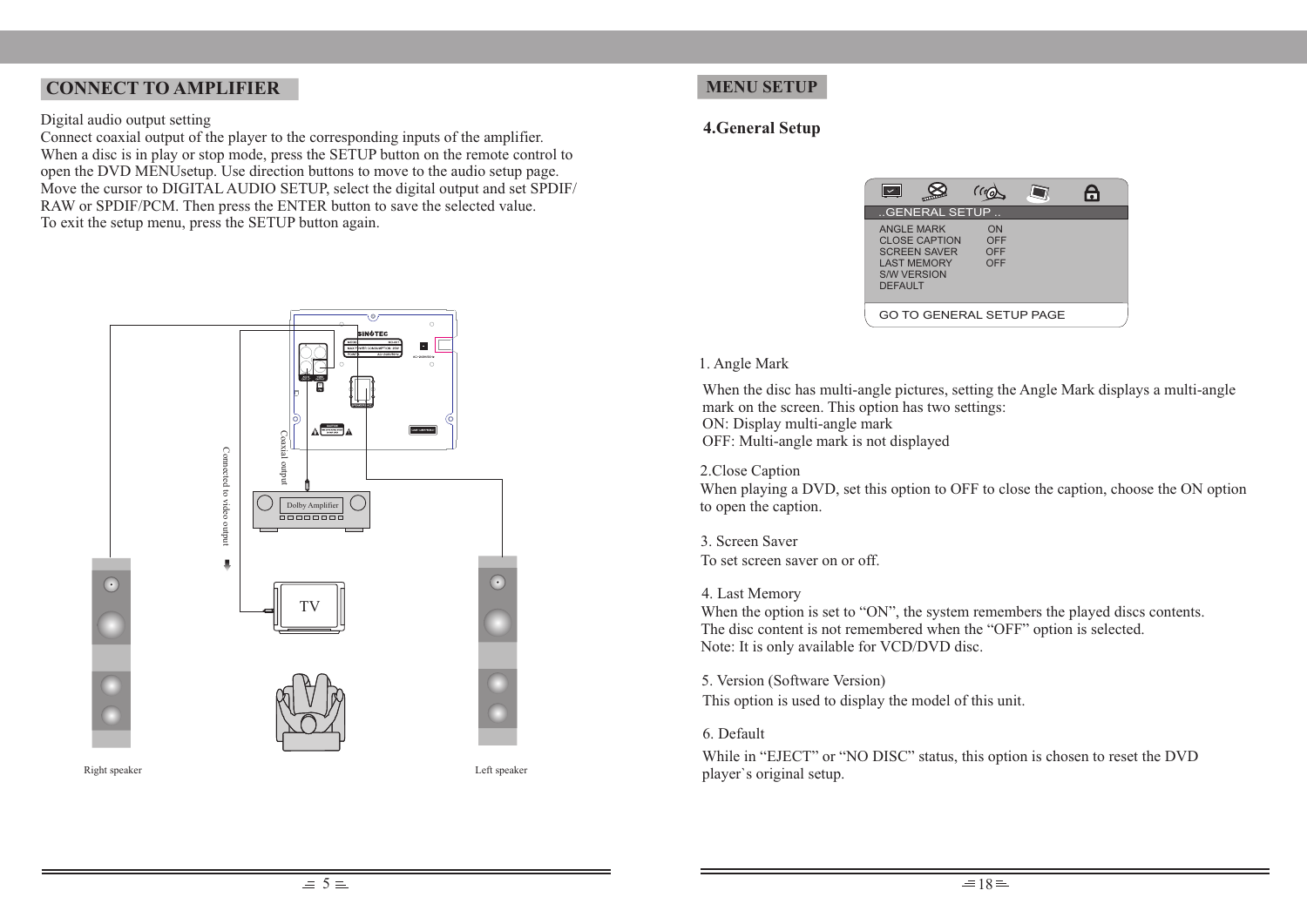## **CONNECT TO AMPLIFIER**

#### Digital audio output setting

Connect coaxial output of the player to the corresponding inputs of the amplifier. When a disc is in play or stop mode, press the SETUP button on the remote control to open the DVD MENUsetup. Use direction buttons to move to the audio setup page. Move the cursor to DIGITAL AUDIO SETUP, select the digital output and set SPDIF/ RAW or SPDIF/PCM. Then press the ENTER button to save the selected value. To exit the setup menu, press the SETUP button again.





## **MENU SETUP**

## **4.General Setup**



#### 1. Angle Mark

When the disc has multi-angle pictures, setting the Angle Mark displays a multi-angle mark on the screen. This option has two settings: ON: Display multi-angle mark OFF: Multi-angle mark is not displayed

#### 2.Close Caption

When playing a DVD, set this option to OFF to close the caption, choose the ON option to open the caption.

3. Screen Saver To set screen saver on or off.

#### 4. Last Memory

When the option is set to "ON", the system remembers the played discs contents. The disc content is not remembered when the "OFF" option is selected. Note: It is only available for VCD/DVD disc.

5. Version (Software Version)

This option is used to display the model of this unit.

#### 6. Default

While in "EJECT" or "NO DISC" status, this option is chosen to reset the DVD player`s original setup.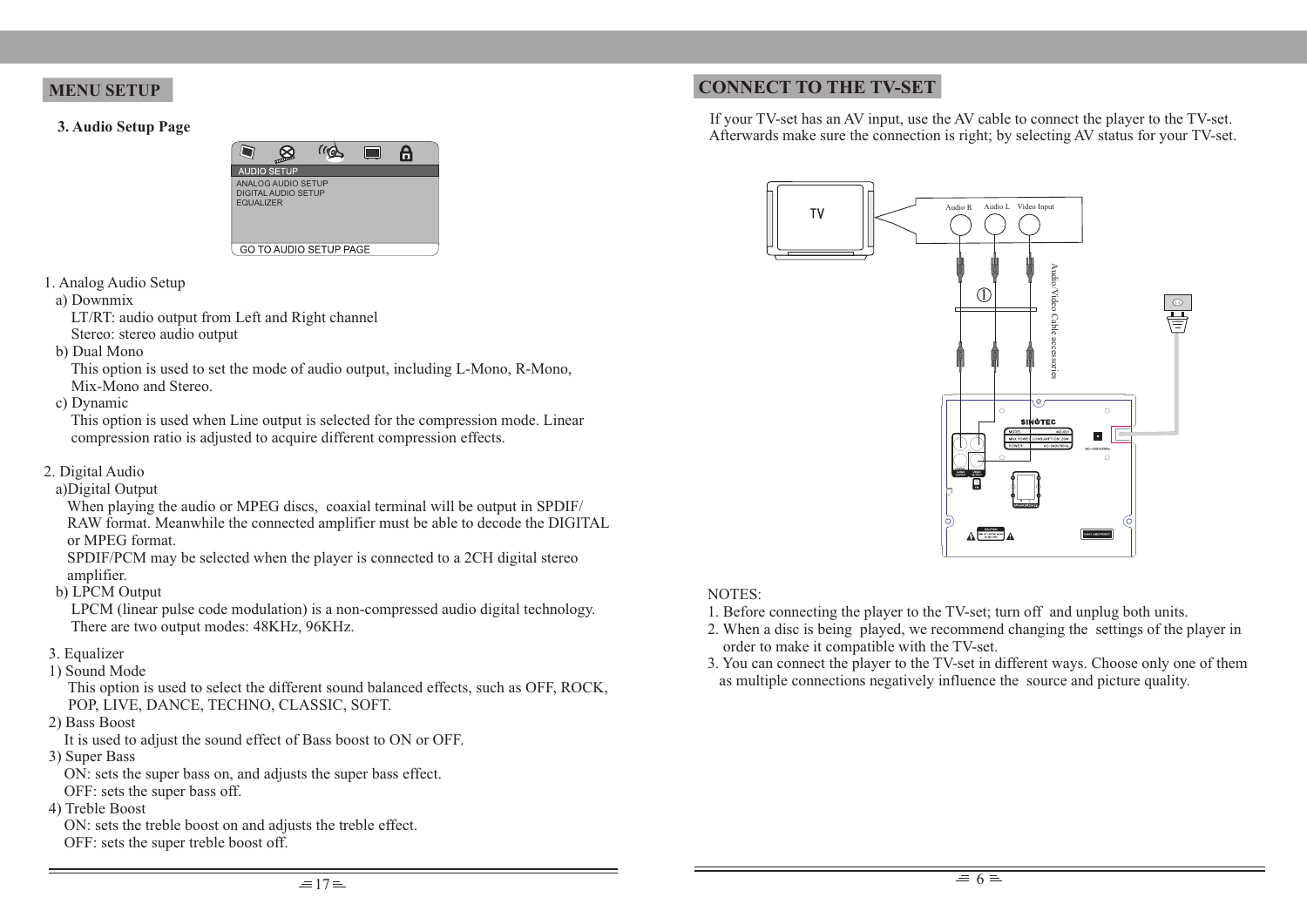#### **MENU SETUP**

**3. Audio Setup Page**



- 1. Analog Audio Setup
- a) Downmix

 LT/RT: audio output from Left and Right channel Stereo: stereo audio output

b) Dual Mono

 This option is used to set the mode of audio output, including L-Mono, R-Mono, Mix-Mono and Stereo.

c) Dynamic

 This option is used when Line output is selected for the compression mode. Linear compression ratio is adjusted to acquire different compression effects.

- 2. Digital Audio
- a)Digital Output

 When playing the audio or MPEG discs, coaxial terminal will be output in SPDIF/ RAW format. Meanwhile the connected amplifier must be able to decode the DIGITAL or MPEG format.

 SPDIF/PCM may be selected when the player is connected to a 2CH digital stereo amplifier.

b) LPCM Output

 LPCM (linear pulse code modulation) is a non-compressed audio digital technology. There are two output modes: 48KHz, 96KHz.

- 3. Equalizer
- 1) Sound Mode

 This option is used to select the different sound balanced effects, such as OFF, ROCK, POP, LIVE, DANCE, TECHNO, CLASSIC, SOFT.

2) Bass Boost

It is used to adjust the sound effect of Bass boost to ON or OFF.

3) Super Bass

ON: sets the super bass on, and adjusts the super bass effect.

- OFF: sets the super bass off.
- 4) Treble Boost

 ON: sets the treble boost on and adjusts the treble effect. OFF: sets the super treble boost off.

## **CONNECT TO THE TV-SET**

 If your TV-set has an AV input, use the AV cable to connect the player to the TV-set. Afterwards make sure the connection is right; by selecting AV status for your TV-set.



## NOTES:

- 1. Before connecting the player to the TV-set; turn off and unplug both units.
- 2. When a disc is being played, we recommend changing the settings of the player in order to make it compatible with the TV-set.
- 3. You can connect the player to the TV-set in different ways. Choose only one of them as multiple connections negatively influence the source and picture quality.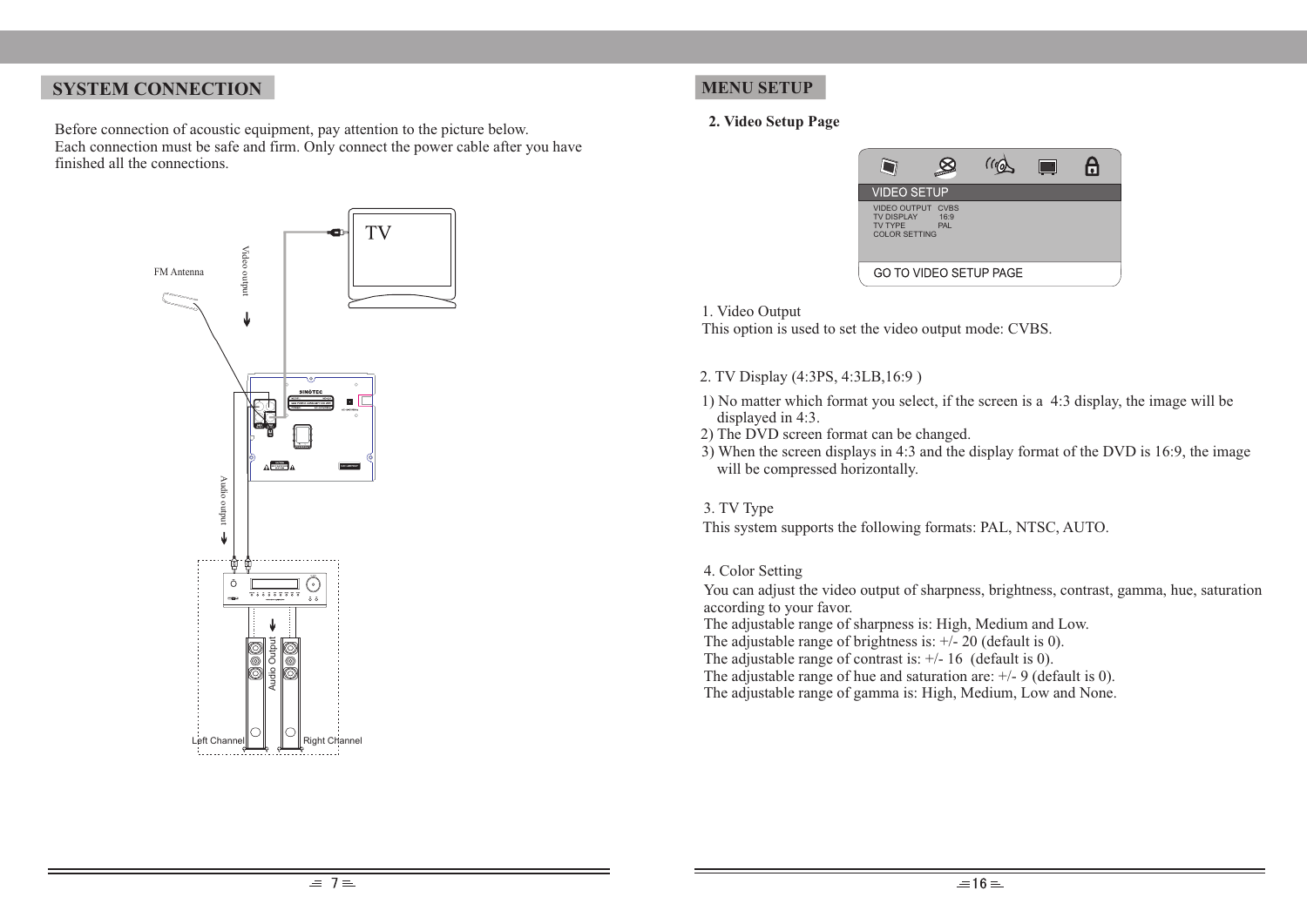## **SYSTEM CONNECTION**

Before connection of acoustic equipment, pay attention to the picture below. Each connection must be safe and firm. Only connect the power cable after you have finished all the connections.



## **MENU SETUP**

#### **2. Video Setup Page**



1. Video Output

This option is used to set the video output mode: CVBS.

- 2. TV Display (4:3PS, 4:3LB,16:9 )
- 1) No matter which format you select, if the screen is a 4:3 display, the image will be displayed in 4:3.
- 2) The DVD screen format can be changed.
- 3) When the screen displays in 4:3 and the display format of the DVD is 16:9, the image will be compressed horizontally.

#### 3. TV Type

This system supports the following formats: PAL, NTSC, AUTO.

#### 4. Color Setting

You can adjust the video output of sharpness, brightness, contrast, gamma, hue, saturation according to your favor.

The adjustable range of sharpness is: High, Medium and Low.

The adjustable range of brightness is:  $\pm/20$  (default is 0).

The adjustable range of contrast is:  $\pm$ /- 16 (default is 0).

The adjustable range of hue and saturation are: +/- 9 (default is 0).

The adjustable range of gamma is: High, Medium, Low and None.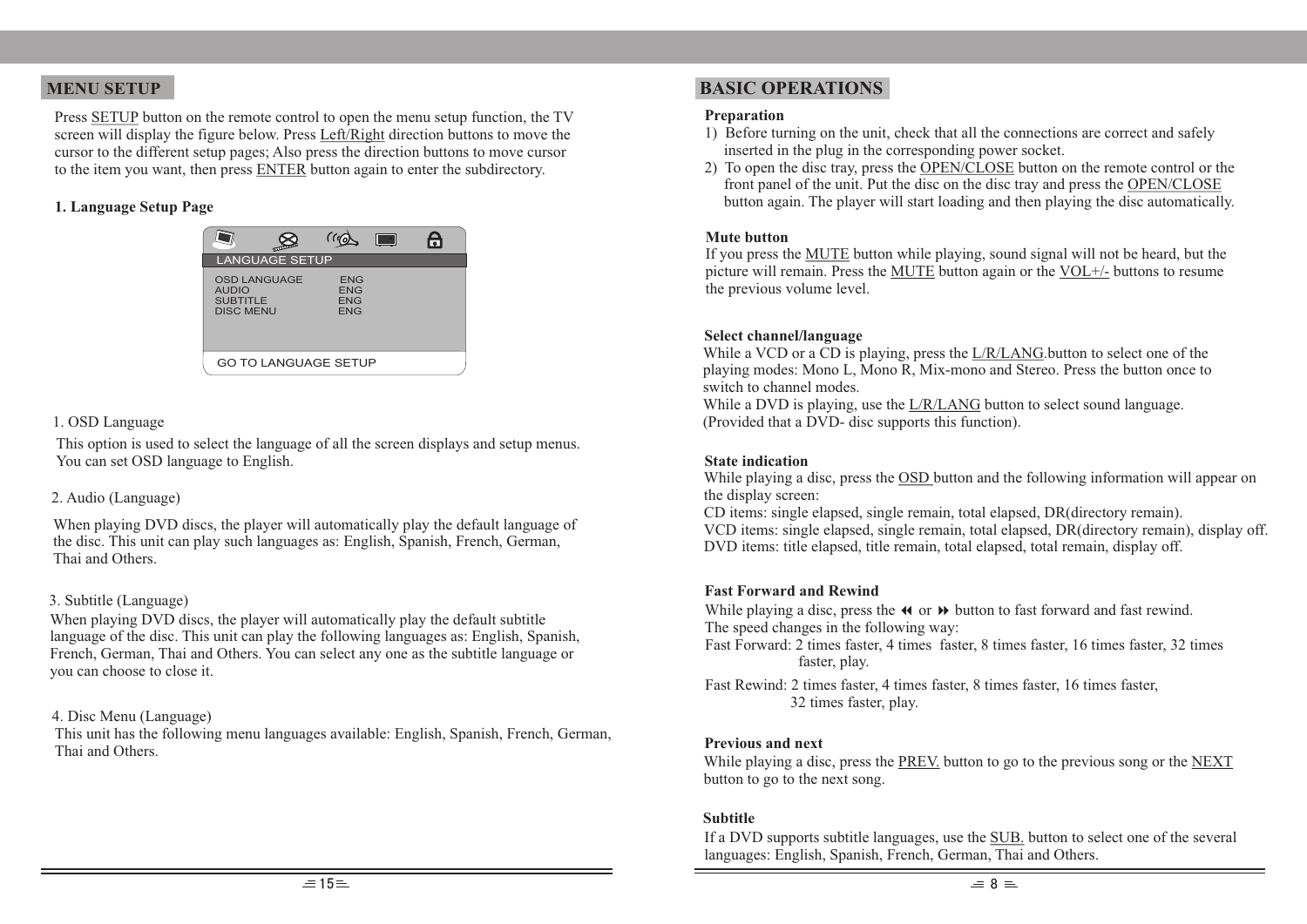Press SETUP button on the remote control to open the menu setup function, the TV screen will display the figure below. Press Left/Right direction buttons to move the cursor to the different setup pages; Also press the direction buttons to move cursor to the item you want, then press ENTER button again to enter the subdirectory.

#### **1. Language Setup Page**

|                                                                            | (11)                                                 |  |  |
|----------------------------------------------------------------------------|------------------------------------------------------|--|--|
| <b>LANGUAGE SETUP</b>                                                      |                                                      |  |  |
| <b>OSD LANGUAGE</b><br><b>AUDIO</b><br><b>SUBTITLE</b><br><b>DISC MENU</b> | <b>ENG</b><br><b>ENG</b><br><b>ENG</b><br><b>FNG</b> |  |  |
| <b>GO TO LANGUAGE SETUP</b>                                                |                                                      |  |  |

#### 1. OSD Language

This option is used to select the language of all the screen displays and setup menus. You can set OSD language to English.

#### 2. Audio (Language)

When playing DVD discs, the player will automatically play the default language of the disc. This unit can play such languages as: English, Spanish, French, German, Thai and Others.

#### 3. Subtitle (Language)

When playing DVD discs, the player will automatically play the default subtitle language of the disc. This unit can play the following languages as: English, Spanish, French, German, Thai and Others. You can select any one as the subtitle language or you can choose to close it.

#### 4. Disc Menu (Language)

This unit has the following menu languages available: English, Spanish, French, German, Thai and Others.

## **MENU SETUP BASIC OPERATIONS**

#### **Preparation**

- 1) Before turning on the unit, check that all the connections are correct and safely inserted in the plug in the corresponding power socket.
- 2) To open the disc tray, press the OPEN/CLOSE button on the remote control or the front panel of the unit. Put the disc on the disc tray and press the OPEN/CLOSE button again. The player will start loading and then playing the disc automatically.

#### **Mute button**

If you press the MUTE button while playing, sound signal will not be heard, but the picture will remain. Press the MUTE button again or the VOL+/- buttons to resume the previous volume level.

#### **Select channel/language**

While a VCD or a CD is playing, press the  $L/R/LANG$ . button to select one of the playing modes: Mono L, Mono R, Mix-mono and Stereo. Press the button once to switch to channel modes.

While a DVD is playing, use the L/R/LANG button to select sound language. (Provided that a DVD- disc supports this function).

#### **State indication**

While playing a disc, press the OSD button and the following information will appear on the display screen:

CD items: single elapsed, single remain, total elapsed, DR(directory remain). VCD items: single elapsed, single remain, total elapsed, DR(directory remain), display off. DVD items: title elapsed, title remain, total elapsed, total remain, display off.

#### **Fast Forward and Rewind**

While playing a disc, press the  $\triangleleft \bullet$  or  $\triangleright \bullet$  button to fast forward and fast rewind. The speed changes in the following way:

 Fast Forward: 2 times faster, 4 times faster, 8 times faster, 16 times faster, 32 times faster, play.

 Fast Rewind: 2 times faster, 4 times faster, 8 times faster, 16 times faster, 32 times faster, play.

#### **Previous and next**

While playing a disc, press the PREV. button to go to the previous song or the NEXT button to go to the next song.

#### **Subtitle**

If a DVD supports subtitle languages, use the **SUB**, button to select one of the several languages: English, Spanish, French, German, Thai and Others.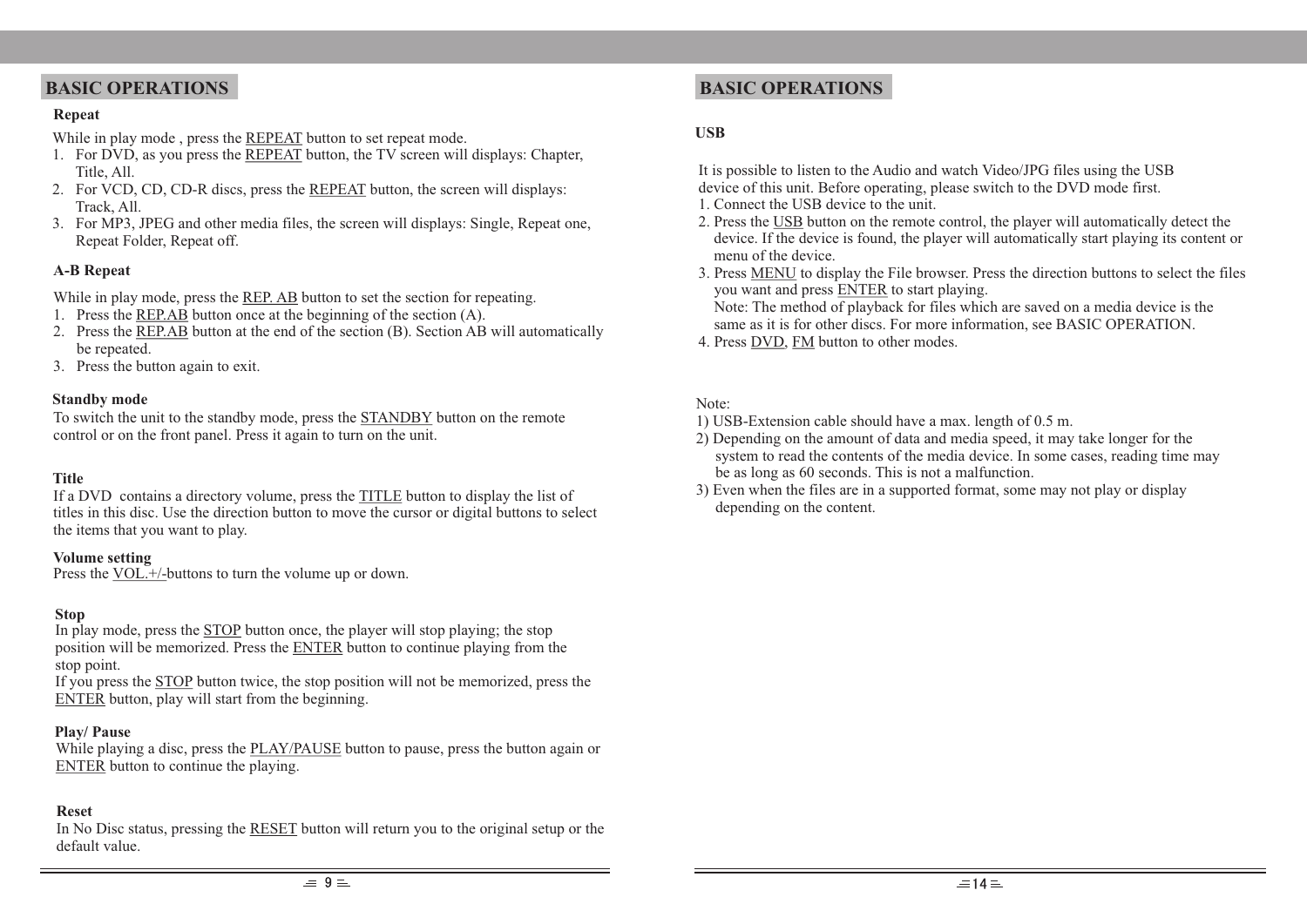## **BASIC OPERATIONS**

#### **Repeat**

While in play mode , press the REPEAT button to set repeat mode.

- 1. For DVD, as you press the REPEAT button, the TV screen will displays: Chapter, Title, All.
- 2. For VCD, CD, CD-R discs, press the REPEAT button, the screen will displays: Track, All.
- 3. For MP3, JPEG and other media files, the screen will displays: Single, Repeat one, Repeat Folder, Repeat off.

## **A-B Repeat**

While in play mode, press the <u>REP. AB</u> button to set the section for repeating.

- 1. Press the REP.AB button once at the beginning of the section (A).
- 2. Press the REP.AB button at the end of the section (B). Section AB will automatically be repeated.
- 3. Press the button again to exit.

### **Standby mode**

To switch the unit to the standby mode, press the STANDBY button on the remote control or on the front panel. Press it again to turn on the unit.

## **Title**

If a DVD contains a directory volume, press the TITLE button to display the list of titles in this disc. Use the direction button to move the cursor or digital buttons to select the items that you want to play.

### **Volume setting**

Press the VOL.<sup>+/-buttons</sup> to turn the volume up or down.

## **Stop**

In play mode, press the STOP button once, the player will stop playing; the stop position will be memorized. Press the ENTER button to continue playing from the stop point.

If you press the STOP button twice, the stop position will not be memorized, press the ENTER button, play will start from the beginning.

### **Play/ Pause**

While playing a disc, press the PLAY/PAUSE button to pause, press the button again or ENTER button to continue the playing.

### **Reset**

In No Disc status, pressing the RESET button will return you to the original setup or the default value.

## **BASIC OPERATIONS**

#### **USB**

It is possible to listen to the Audio and watch Video/JPG files using the USB device of this unit. Before operating, please switch to the DVD mode first.

- 1. Connect the USB device to the unit.
- 2. Press the USB button on the remote control, the player will automatically detect the device. If the device is found, the player will automatically start playing its content or menu of the device.
- 3. Press MENU to display the File browser. Press the direction buttons to select the files you want and press ENTER to start playing.

Note: The method of playback for files which are saved on a media device is the same as it is for other discs. For more information, see BASIC OPERATION.

4. Press DVD, FM button to other modes.

# Note:

- 1) USB-Extension cable should have a max. length of 0.5 m.
- 2) Depending on the amount of data and media speed, it may take longer for the system to read the contents of the media device. In some cases, reading time may be as long as 60 seconds. This is not a malfunction.
- 3) Even when the files are in a supported format, some may not play or display depending on the content.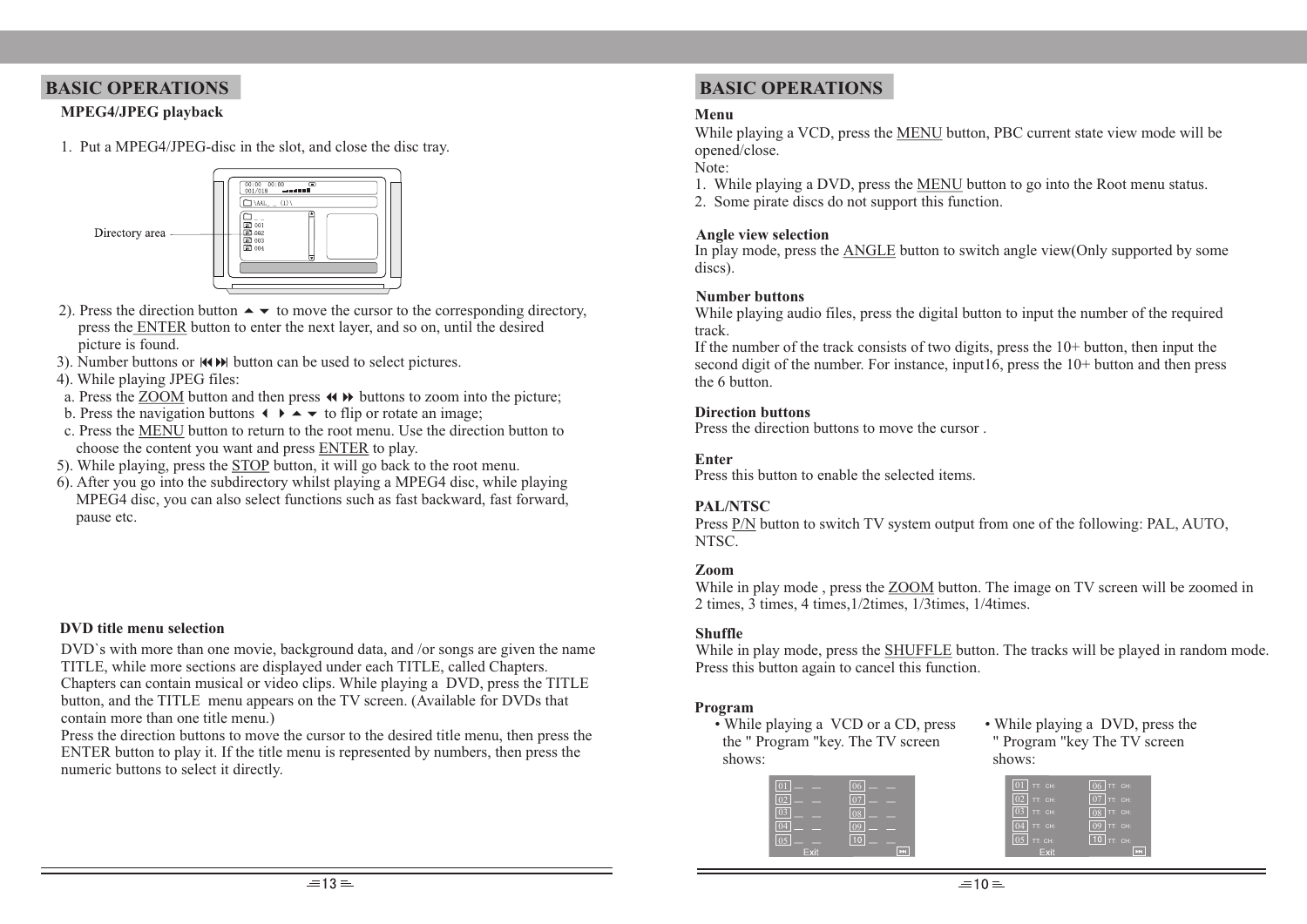## **BASIC OPERATIONS BASIC OPERATIONS**

## **MPEG4/JPEG playback**

1. Put a MPEG4/JPEG-disc in the slot, and close the disc tray.



- 2). Press the direction button  $\rightarrow \bullet$  to move the cursor to the corresponding directory, press the ENTER button to enter the next layer, and so on, until the desired picture is found.
- 3). Number buttons or  $\text{H}\rightarrow\text{H}$  button can be used to select pictures.
- 4). While playing JPEG files:
- a. Press the ZOOM button and then press  $\leftrightarrow$   $\rightarrow$  buttons to zoom into the picture;
- b. Press the navigation buttons  $\leftrightarrow \bullet \bullet \bullet$  to flip or rotate an image;
- c. Press the MENU button to return to the root menu. Use the direction button to choose the content you want and press ENTER to play.
- 5). While playing, press the STOP button, it will go back to the root menu.
- 6). After you go into the subdirectory whilst playing a MPEG4 disc, while playing MPEG4 disc, you can also select functions such as fast backward, fast forward, pause etc.

### **DVD title menu selection**

DVD`s with more than one movie, background data, and /or songs are given the name TITLE, while more sections are displayed under each TITLE, called Chapters. Chapters can contain musical or video clips. While playing a DVD, press the TITLE button, and the TITLE menu appears on the TV screen. (Available for DVDs that contain more than one title menu.)

Press the direction buttons to move the cursor to the desired title menu, then press the ENTER button to play it. If the title menu is represented by numbers, then press the numeric buttons to select it directly.

#### **Menu**

While playing a VCD, press the MENU button, PBC current state view mode will be opened/close.

Note:

- 1. While playing a DVD, press the MENU button to go into the Root menu status.
- 2. Some pirate discs do not support this function.

#### **Angle view selection**

In play mode, press the ANGLE button to switch angle view(Only supported by some discs).

#### **Number buttons**

While playing audio files, press the digital button to input the number of the required track.

If the number of the track consists of two digits, press the  $10+$  button, then input the second digit of the number. For instance, input16, press the 10+ button and then press the 6 button.

### **Direction buttons**

Press the direction buttons to move the cursor .

## **Enter**

Press this button to enable the selected items.

## **PAL/NTSC**

 Press P/N button to switch TV system output from one of the following: PAL, AUTO, NTSC.

### **Zoom**

While in play mode , press the ZOOM button. The image on TV screen will be zoomed in 2 times, 3 times, 4 times,1/2times, 1/3times, 1/4times.

### **Shuffle**

While in play mode, press the **SHUFFLE** button. The tracks will be played in random mode. Press this button again to cancel this function.

### **Program**

• While playing a VCD or a CD, press the " Program "key. The TV screen shows:

• While playing a DVD, press the " Program "key The TV screen shows:

|      | $\boxed{06}$ - -          | $\boxed{01}$ TT: CH: | $\sqrt{06}$ TT: CH:  |
|------|---------------------------|----------------------|----------------------|
|      | $ 07  - -$                | $\boxed{02}$ TT: CH: | $\boxed{07}$ TT: CH: |
|      | $\boxed{08}$ $\boxed{ }$  | $\boxed{03}$ TT: CH: | $\sqrt{08}$ TT: CH:  |
|      | $\boxed{09}$ - -          | $\boxed{04}$ TT: CH: | $\sqrt{09}$ TT: CH:  |
|      | $\boxed{10}$ $\__$        | $\boxed{05}$ TT: CH: | $\sqrt{10}$ TT: CH:  |
| Exit | $\overline{ \mathbf{r} }$ | Exit                 |                      |
|      |                           |                      |                      |